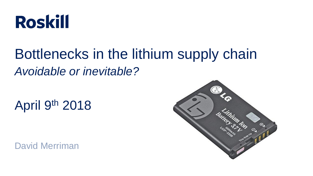

## Bottlenecks in the lithium supply chain *Avoidable or inevitable?*

April 9<sup>th</sup> 2018

David Merriman

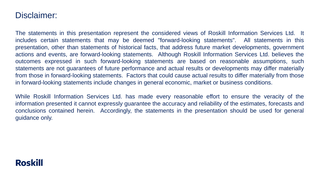#### Disclaimer:

The statements in this presentation represent the considered views of Roskill Information Services Ltd. It includes certain statements that may be deemed "forward-looking statements". All statements in this presentation, other than statements of historical facts, that address future market developments, government actions and events, are forward-looking statements. Although Roskill Information Services Ltd. believes the outcomes expressed in such forward-looking statements are based on reasonable assumptions, such statements are not guarantees of future performance and actual results or developments may differ materially from those in forward-looking statements. Factors that could cause actual results to differ materially from those in forward-looking statements include changes in general economic, market or business conditions.

While Roskill Information Services Ltd. has made every reasonable effort to ensure the veracity of the information presented it cannot expressly guarantee the accuracy and reliability of the estimates, forecasts and conclusions contained herein. Accordingly, the statements in the presentation should be used for general guidance only.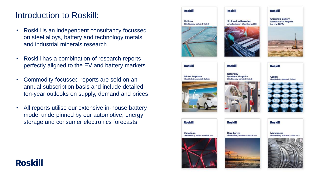#### Introduction to Roskill:

- Roskill is an independent consultancy focussed on steel alloys, battery and technology metals and industrial minerals research
- Roskill has a combination of research reports perfectly aligned to the EV and battery markets
- Commodity-focussed reports are sold on an annual subscription basis and include detailed ten-year outlooks on supply, demand and prices
- All reports utilise our extensive in-house battery model underpinned by our automotive, energy storage and consumer electronics forecasts

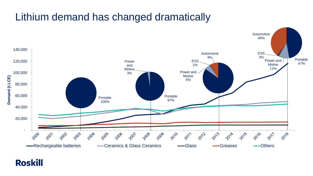## Lithium demand has changed dramatically

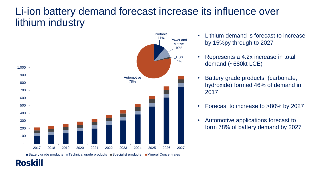## Li-ion battery demand forecast increase its influence over lithium industry



■ Battery grade products ■ Technical grade products ■ Specialist products ■ Mineral Concentrates

- Lithium demand is forecast to increase by 15%py through to 2027
- Represents a 4.2x increase in total demand (~680kt LCE)
- Battery grade products (carbonate, hydroxide) formed 46% of demand in 2017
- Forecast to increase to >80% by 2027
- Automotive applications forecast to form 78% of battery demand by 2027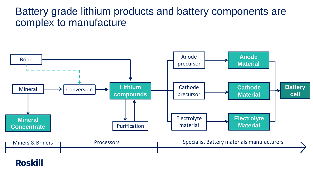### Battery grade lithium products and battery components are complex to manufacture

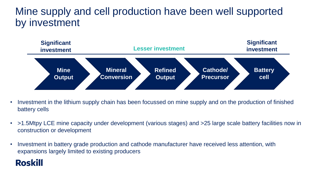## Mine supply and cell production have been well supported by investment



- Investment in the lithium supply chain has been focussed on mine supply and on the production of finished battery cells
- >1.5Mtpy LCE mine capacity under development (various stages) and >25 large scale battery facilities now in construction or development
- Investment in battery grade production and cathode manufacturer have received less attention, with expansions largely limited to existing producers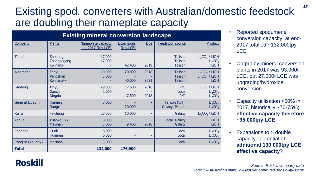## Existing spod. converters with Australian/domestic feedstock are doubling their nameplate capacity

| <b>Existing mineral conversion landscape</b> |                                                 |                                          |                                |              |                                                    |                                                                                       |  |  |  |
|----------------------------------------------|-------------------------------------------------|------------------------------------------|--------------------------------|--------------|----------------------------------------------------|---------------------------------------------------------------------------------------|--|--|--|
| <b>Company</b>                               | <b>Plants</b>                                   | Nameplate capacity<br>end-2017 (tpy LCE) | <b>Expansions</b><br>(tpy LCE) | <b>Due</b>   | <b>Feedstock source</b>                            | Product                                                                               |  |  |  |
| <b>Tiangi</b>                                | Shehong<br>Zhangjiagang<br>Kwinana <sup>1</sup> | 17,000<br>17,000                         | 42,400                         | 2019         | <b>Talison</b><br><b>Talison</b><br><b>Talison</b> | $Li2CO3$ / LiOH<br>Li <sub>2</sub> CO <sub>3</sub><br><b>LiOH</b>                     |  |  |  |
| Albemarle                                    | Fenyi<br>Pengshan<br>Kwinana <sup>1,2</sup>     | 10,000<br>5,000                          | 20,000<br>40,000               | 2018<br>2021 | <b>Talison</b><br><b>Talison</b><br><b>Talison</b> | $Li2CO3$ / LiOH<br>$Li2CO3$ / LiOH<br><b>LiOH</b>                                     |  |  |  |
| Ganfeng                                      | <b>Xinyu</b><br>Ganxian<br>Ningdu               | 29,000<br>2,000                          | 17,600<br>17,500               | 2018<br>2018 | <b>PMI</b><br>Local<br><b>PMI</b>                  | $Li2CO3$ / LiOH<br>Li <sub>2</sub> CO <sub>3</sub><br>Li <sub>2</sub> CO <sub>3</sub> |  |  |  |
| <b>General Lithium</b>                       | Haimen<br><b>Jiangxi</b>                        | 8,000                                    | 20,000                         |              | Talison (toll),<br>Galaxy, Pilbara                 | Li <sub>2</sub> CO <sub>3</sub><br>Li <sub>2</sub> CO <sub>3</sub>                    |  |  |  |
| <b>Ruifu</b>                                 | Feicheng                                        | 28,000                                   | 10,000                         |              | Galaxy                                             | $Li2CO3$ LiOH                                                                         |  |  |  |
| Yahua                                        | Xuankou X2<br>Meishan                           | 8,000<br>3,000                           | 9,400                          | 2018         | Local, Galaxy<br>Galaxy                            | <b>LiOH</b><br><b>LiOH</b>                                                            |  |  |  |
| Zhonghe                                      | Guoli<br>Huamen                                 | 6,000<br>6,000                           |                                |              | Local<br>Local                                     | Li <sub>2</sub> CO <sub>3</sub><br>Li <sub>2</sub> CO <sub>3</sub>                    |  |  |  |
| RongJie (Youngy)                             | Meishan                                         | 3,000                                    |                                |              | Local                                              | Li <sub>2</sub> CO <sub>3</sub>                                                       |  |  |  |
| <b>Total</b>                                 |                                                 | 132,000                                  | 176,900                        |              |                                                    |                                                                                       |  |  |  |

**Roskill** 

- Reported spodumene conversion capacity at end-2017 totalled ~132,000tpy **LCE**
- Output by mineral conversion plants in 2017 was 93,000t LCE, but 27,000t LCE was upgrading/hydroxide conversion
- Capacity utilisation <50% in 2017, historically ~70-75%; **effective capacity therefore ~95,000tpy LCE**
- Expansions to > double capacity, potential of **additional 130,000tpy LCE effective capacity**?

*Source: Roskill; company data Note: 1 – Australian plant; 2 – Not yet approved, feasibility-stage*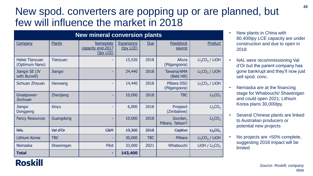## New spod. converters are popping up or are planned, but few will influence the market in 2018

| <b>New mineral conversion plants</b> |                 |                                                    |                                |            |                               |                                 |  |  |  |
|--------------------------------------|-----------------|----------------------------------------------------|--------------------------------|------------|-------------------------------|---------------------------------|--|--|--|
| <b>Company</b>                       | <b>Plants</b>   | <b>Nameplate</b><br>capacity end-2017<br>(tpy LCE) | <b>Expansions</b><br>(tpy LCE) | Due        | <b>Feedstock</b><br>source    | Product                         |  |  |  |
| Hebei Tianyuan<br>(Optimum Nano)     | <b>Tianyuan</b> |                                                    | 15,520                         | 2018       | Altura<br>(Pilgangoora)       | $Li2CO3$ / LiOH                 |  |  |  |
| Jiangxi SE (JV<br>with Burwill)      | <b>Jiangxi</b>  |                                                    | 24,440                         | 2018       | Tawana/AMA<br>(Bald Hill)     | $Li2CO3$ / LiOH                 |  |  |  |
| Sichuan Zhiyuan                      | Hanwang         |                                                    | 14,440                         | 2018       | Pilbara DSO<br>(Pilgangoora)  | $Li2CO3$ / LiOH                 |  |  |  |
| Greatpower-<br><b>Jinchuan</b>       | Zhenjiang       |                                                    | 10,000                         | 2018       | <b>TBC</b>                    | Li <sub>2</sub> CO <sub>3</sub> |  |  |  |
| <b>Jiangxi</b><br>Dongpeng           | <b>Xinyu</b>    |                                                    | 6,000                          | 2018       | Prospect<br>(Zimbabwe)        | Li <sub>2</sub> CO <sub>3</sub> |  |  |  |
| <b>Fancy Resources</b>               | Guangdong       |                                                    | 10,000                         | 2018       | Jourdan,<br>Pilbara, Talison? | Li <sub>2</sub> CO <sub>3</sub> |  |  |  |
| <b>NAL</b>                           | Val d'Or        | C&M                                                | 19,300                         | 2018       | Captive                       | $H_2CO_2$                       |  |  |  |
| Lithium Korea                        | <b>TBC</b>      |                                                    | 30,000                         | <b>TBC</b> | Pilbara                       | $Li2CO3$ / LiOH                 |  |  |  |
| <b>Nemaska</b>                       | Shawinigan      | <b>Pilot</b>                                       | 33,000                         | 2021       | Whabouchi                     | LIOH / $Li2CO3$                 |  |  |  |
| <b>Total</b>                         |                 |                                                    | 143,400                        |            |                               |                                 |  |  |  |

- New plants in China with 80,400tpy LCE capacity are under construction and due to open in 2018
- NAL were recommissioning Val d'Or but the parent company has gone bankrupt and they'll now just sell spod. conc.
- Nemaska are at the financing stage for Whabouchi/ Shawinigan and could open 2021; Lithium Korea plans 30,000tpy.
- Several Chinese plants are linked to Australian producers or potential new projects
- No projects are >50% complete, suggesting 2018 impact will be limited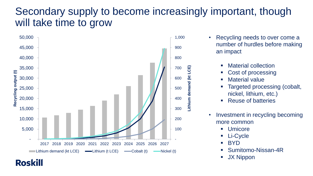## Secondary supply to become increasingly important, though will take time to grow



- Recycling needs to over come a number of hurdles before making an impact
	- Material collection
	- Cost of processing
	- Material value
	- Targeted processing (cobalt, nickel, lithium, etc.)
	- Reuse of batteries
- Investment in recycling becoming more common
	- **Umicore**
	- Li-Cycle
	- BYD
	- Sumitomo-Nissan-4R
	- JX Nippon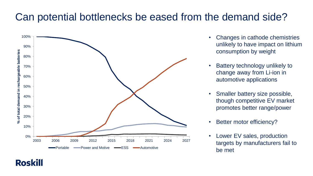## Can potential bottlenecks be eased from the demand side?



- Changes in cathode chemistries unlikely to have impact on lithium consumption by weight
- Battery technology unlikely to change away from Li-ion in automotive applications
- Smaller battery size possible, though competitive EV market promotes better range/power
- Better motor efficiency?
- Lower EV sales, production targets by manufacturers fail to be met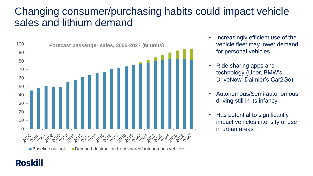## Changing consumer/purchasing habits could impact vehicle sales and lithium demand



- Increasingly efficient use of the vehicle fleet may lower demand for personal vehicles
- Ride sharing apps and technology (Uber, BMW's DriveNow, Daimler's Car2Go)
- Autonomous/Semi-autonomous driving still in its infancy
- Has potential to significantly impact vehicles intensity of use in urban areas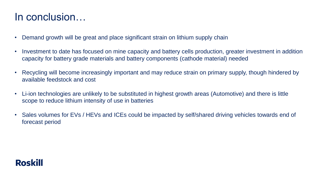## In conclusion…

- Demand growth will be great and place significant strain on lithium supply chain
- Investment to date has focused on mine capacity and battery cells production, greater investment in addition capacity for battery grade materials and battery components (cathode material) needed
- Recycling will become increasingly important and may reduce strain on primary supply, though hindered by available feedstock and cost
- Li-ion technologies are unlikely to be substituted in highest growth areas (Automotive) and there is little scope to reduce lithium intensity of use in batteries
- Sales volumes for EVs / HEVs and ICEs could be impacted by self/shared driving vehicles towards end of forecast period